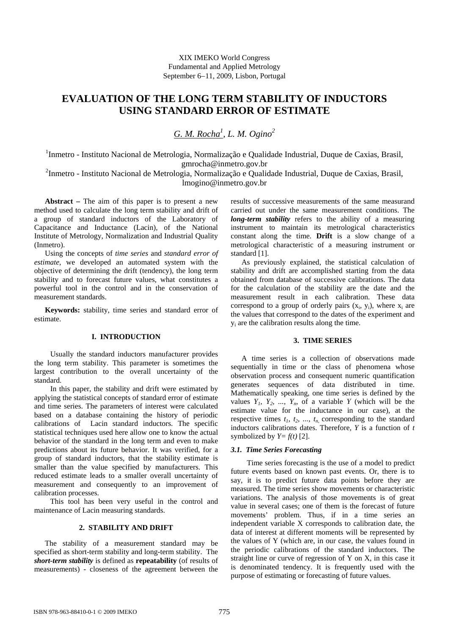# **EVALUATION OF THE LONG TERM STABILITY OF INDUCTORS USING STANDARD ERROR OF ESTIMATE**

*G. M. Rocha1 , L. M. Ogino2*

<sup>1</sup>Inmetro - Instituto Nacional de Metrologia, Normalização e Qualidade Industrial, Duque de Caxias, Brasil, gmrocha@inmetro.gov.br

<sup>2</sup>Inmetro - Instituto Nacional de Metrologia, Normalização e Qualidade Industrial, Duque de Caxias, Brasil, lmogino@inmetro.gov.br

**Abstract –** The aim of this paper is to present a new method used to calculate the long term stability and drift of a group of standard inductors of the Laboratory of Capacitance and Inductance (Lacin), of the National Institute of Metrology, Normalization and Industrial Quality (Inmetro).

Using the concepts of *time series* and *standard error of estimate*, we developed an automated system with the objective of determining the drift (tendency), the long term stability and to forecast future values, what constitutes a powerful tool in the control and in the conservation of measurement standards.

**Keywords:** stability, time series and standard error of estimate.

### **I. INTRODUCTION**

Usually the standard inductors manufacturer provides the long term stability. This parameter is sometimes the largest contribution to the overall uncertainty of the standard.

In this paper, the stability and drift were estimated by applying the statistical concepts of standard error of estimate and time series. The parameters of interest were calculated based on a database containing the history of periodic calibrations of Lacin standard inductors. The specific statistical techniques used here allow one to know the actual behavior of the standard in the long term and even to make predictions about its future behavior. It was verified, for a group of standard inductors, that the stability estimate is smaller than the value specified by manufacturers. This reduced estimate leads to a smaller overall uncertainty of measurement and consequently to an improvement of calibration processes.

This tool has been very useful in the control and maintenance of Lacin measuring standards.

# **2. STABILITY AND DRIFT**

The stability of a measurement standard may be specified as short-term stability and long-term stability. The *short-term stability* is defined as **repeatability** (of results of measurements) - closeness of the agreement between the results of successive measurements of the same measurand carried out under the same measurement conditions. The *long-term stability* refers to the ability of a measuring instrument to maintain its metrological characteristics constant along the time. **Drift** is a slow change of a metrological characteristic of a measuring instrument or standard [1].

As previously explained, the statistical calculation of stability and drift are accomplished starting from the data obtained from database of successive calibrations. The data for the calculation of the stability are the date and the measurement result in each calibration. These data correspond to a group of orderly pairs  $(x_i, y_i)$ , where  $x_i$  are the values that correspond to the dates of the experiment and yi are the calibration results along the time.

#### **3. TIME SERIES**

A time series is a collection of observations made sequentially in time or the class of phenomena whose observation process and consequent numeric quantification generates sequences of data distributed in time. Mathematically speaking, one time series is defined by the values  $Y_1$ ,  $Y_2$ , ...,  $Y_n$ , of a variable *Y* (which will be the estimate value for the inductance in our case), at the respective times  $t_1$ ,  $t_2$ , ...,  $t_n$  corresponding to the standard inductors calibrations dates. Therefore, *Y* is a function of *t* symbolized by  $Y=f(t)$  [2].

### *3.1. Time Series Forecasting*

Time series forecasting is the use of a model to predict future events based on known past events. Or, there is to say, it is to predict future data points before they are measured. The time series show movements or characteristic variations. The analysis of those movements is of great value in several cases; one of them is the forecast of future movements' problem. Thus, if in a time series an independent variable X corresponds to calibration date, the data of interest at different moments will be represented by the values of Y (which are, in our case, the values found in the periodic calibrations of the standard inductors. The straight line or curve of regression of Y on X, in this case it is denominated tendency. It is frequently used with the purpose of estimating or forecasting of future values.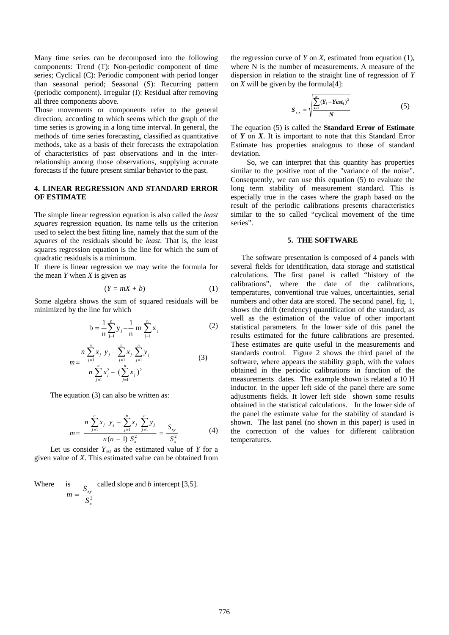Many time series can be decomposed into the following components: Trend (T): Non-periodic component of time series; Cyclical (C): Periodic component with period longer than seasonal period; Seasonal (S): Recurring pattern (periodic component). Irregular (I): Residual after removing all three components above.

Those movements or components refer to the general direction, according to which seems which the graph of the time series is growing in a long time interval. In general, the methods of time series forecasting, classified as quantitative methods, take as a basis of their forecasts the extrapolation of characteristics of past observations and in the interrelationship among those observations, supplying accurate forecasts if the future present similar behavior to the past.

# **4. LINEAR REGRESSION AND STANDARD ERROR OF ESTIMATE**

The simple linear regression equation is also called the *least squares* regression equation. Its name tells us the criterion used to select the best fitting line, namely that the sum of the *squares* of the residuals should be *least*. That is, the least squares regression equation is the line for which the sum of quadratic residuals is a minimum.

If there is linear regression we may write the formula for the mean  $Y$  when  $X$  is given as

$$
(Y = mX + b) \tag{1}
$$

Some algebra shows the sum of squared residuals will be minimized by the line for which

$$
b = \frac{1}{n} \sum_{j=1}^{n} y_j - \frac{1}{n} m \sum_{j=1}^{n} x_j
$$
 (2)

$$
m = \frac{n \sum_{j=1}^{n} x_j \ y_j - \sum_{j=1}^{n} x_j \sum_{j=1}^{n} y_j}{n \sum_{j=1}^{n} x_j^2 - (\sum_{j=1}^{n} x_j)^2}
$$
(3)

The equation (3) can also be written as:

$$
m = \frac{n \sum_{j=1}^{n} x_j \ y_j - \sum_{j=1}^{n} x_j \ \sum_{j=1}^{n} y_j}{n (n-1) S_x^2} = \frac{S_{xy}}{S_x^2}
$$
(4)

Let us consider *Yest* as the estimated value of *Y* for a given value of *X*. This estimated value can be obtained from

Where is 
$$
m = \frac{S_{xy}}{S_x^2}
$$
 called slope and *b* intercept [3,5].

the regression curve of *Y* on *X*, estimated from equation (1), where N is the number of measurements. A measure of the dispersion in relation to the straight line of regression of *Y* on  $X$  will be given by the formula<sup>[4]</sup>:

$$
S_{y.x} = \sqrt{\frac{\sum_{i=1}^{n} (Y_i - Yest_i)^2}{N}}
$$
 (5)

The equation (5) is called the **Standard Error of Estimate** of *Y* on *X*. It is important to note that this Standard Error Estimate has properties analogous to those of standard deviation.

So, we can interpret that this quantity has properties similar to the positive root of the "variance of the noise". Consequently, we can use this equation (5) to evaluate the long term stability of measurement standard. This is especially true in the cases where the graph based on the result of the periodic calibrations presents characteristics similar to the so called "cyclical movement of the time series".

#### **5. THE SOFTWARE**

The software presentation is composed of 4 panels with several fields for identification, data storage and statistical calculations. The first panel is called "history of the calibrations", where the date of the calibrations, temperatures, conventional true values, uncertainties, serial numbers and other data are stored. The second panel, fig. 1, shows the drift (tendency) quantification of the standard, as well as the estimation of the value of other important statistical parameters. In the lower side of this panel the results estimated for the future calibrations are presented. These estimates are quite useful in the measurements and standards control. Figure 2 shows the third panel of the software, where appears the stability graph, with the values obtained in the periodic calibrations in function of the measurements dates. The example shown is related a 10 H inductor. In the upper left side of the panel there are some adjustments fields. It lower left side shown some results obtained in the statistical calculations. In the lower side of the panel the estimate value for the stability of standard is shown. The last panel (no shown in this paper) is used in the correction of the values for different calibration temperatures.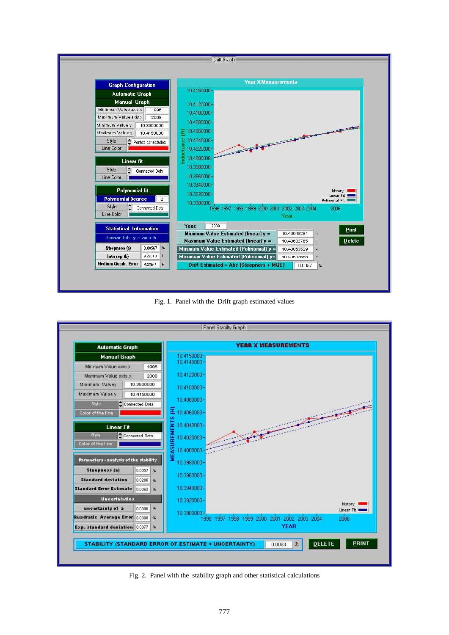

Fig. 1. Panel with the Drift graph estimated values



Fig. 2. Panel with the stability graph and other statistical calculations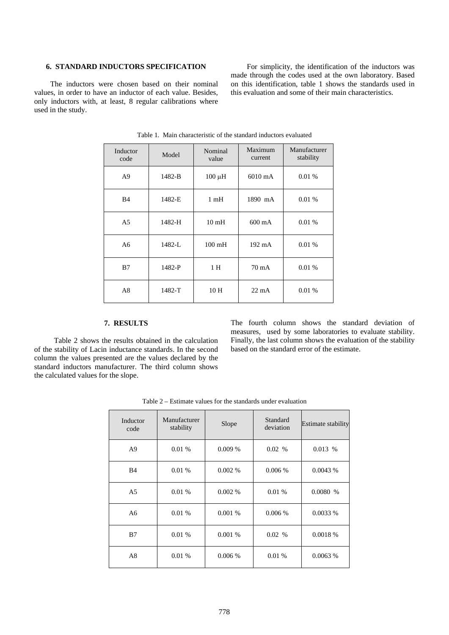# **6. STANDARD INDUCTORS SPECIFICATION**

The inductors were chosen based on their nominal values, in order to have an inductor of each value. Besides, only inductors with, at least, 8 regular calibrations where used in the study.

For simplicity, the identification of the inductors was made through the codes used at the own laboratory. Based on this identification, table 1 shows the standards used in this evaluation and some of their main characteristics.

| Inductor<br>code | Model  | Nominal<br>value | Maximum<br>current | Manufacturer<br>stability |
|------------------|--------|------------------|--------------------|---------------------------|
| A9               | 1482-B | $100 \mu H$      | $6010 \text{ mA}$  | 0.01%                     |
| B <sub>4</sub>   | 1482-E | 1 <sub>m</sub> H | 1890 mA            | 0.01%                     |
| A5               | 1482-H | 10 <sub>mH</sub> | $600 \text{ mA}$   | 0.01%                     |
| A6               | 1482-L | $100 \text{ mH}$ | $192 \text{ mA}$   | 0.01%                     |
| B7               | 1482-P | 1 H              | 70 mA              | 0.01%                     |
| A8               | 1482-T | 10 H             | $22 \text{ mA}$    | 0.01%                     |

Table 1. Main characteristic of the standard inductors evaluated

### **7. RESULTS**

 Table 2 shows the results obtained in the calculation of the stability of Lacin inductance standards. In the second column the values presented are the values declared by the standard inductors manufacturer. The third column shows the calculated values for the slope.

The fourth column shows the standard deviation of measures, used by some laboratories to evaluate stability. Finally, the last column shows the evaluation of the stability based on the standard error of the estimate.

| Inductor<br>code | Manufacturer<br>stability | Slope  | Standard<br>deviation | <b>Estimate stability</b> |
|------------------|---------------------------|--------|-----------------------|---------------------------|
| A <sub>9</sub>   | 0.01%                     | 0.009% | 0.02 %                | 0.013%                    |
| B4               | 0.01%                     | 0.002% | 0.006%                | 0.0043%                   |
| A <sub>5</sub>   | 0.01%                     | 0.002% | 0.01 %                | 0.0080%                   |
| A6               | 0.01%                     | 0.001% | $0.006\%$             | 0.0033%                   |
| B7               | 0.01%                     | 0.001% | 0.02%                 | 0.0018 %                  |
| A8               | 0.01%                     | 0.006% | 0.01%                 | 0.0063%                   |